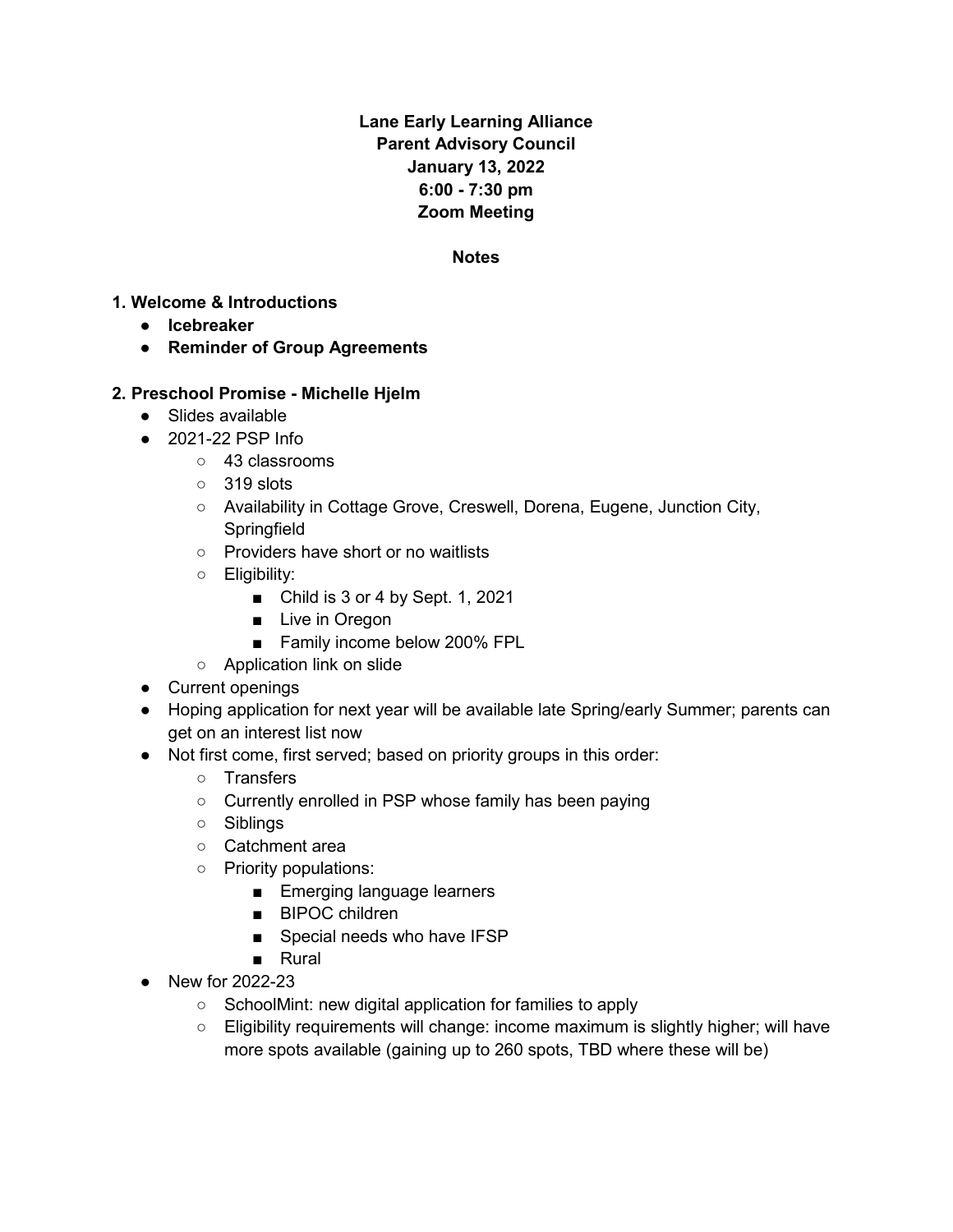## **Lane Early Learning Alliance Parent Advisory Council January 13, 2022 6:00 - 7:30 pm Zoom Meeting**

#### **Notes**

#### **1. Welcome & Introductions**

- **Icebreaker**
- **Reminder of Group Agreements**

#### **2. Preschool Promise - Michelle Hjelm**

- Slides available
- 2021-22 PSP Info
	- 43 classrooms
	- 319 slots
	- Availability in Cottage Grove, Creswell, Dorena, Eugene, Junction City, **Springfield**
	- Providers have short or no waitlists
	- Eligibility:
		- Child is 3 or 4 by Sept. 1, 2021
		- Live in Oregon
		- Family income below 200% FPL
	- Application link on slide
- Current openings
- Hoping application for next year will be available late Spring/early Summer; parents can get on an interest list now
- Not first come, first served; based on priority groups in this order:
	- Transfers
	- Currently enrolled in PSP whose family has been paying
	- Siblings
	- Catchment area
	- Priority populations:
		- Emerging language learners
		- BIPOC children
		- Special needs who have IFSP
		- Rural
- New for 2022-23
	- SchoolMint: new digital application for families to apply
	- Eligibility requirements will change: income maximum is slightly higher; will have more spots available (gaining up to 260 spots, TBD where these will be)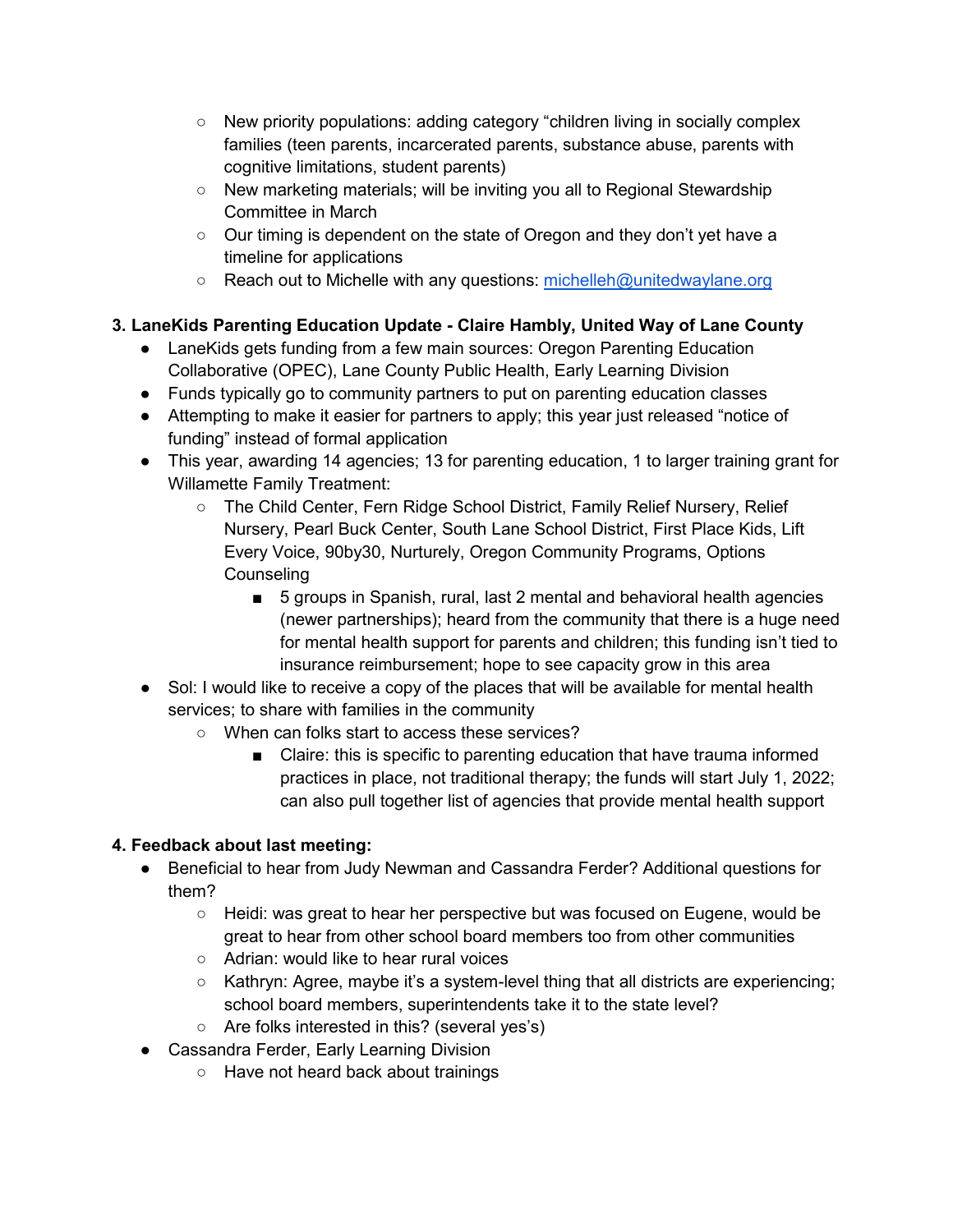- New priority populations: adding category "children living in socially complex families (teen parents, incarcerated parents, substance abuse, parents with cognitive limitations, student parents)
- New marketing materials; will be inviting you all to Regional Stewardship Committee in March
- Our timing is dependent on the state of Oregon and they don't yet have a timeline for applications
- Reach out to Michelle with any questions: [michelleh@unitedwaylane.org](mailto:michelleh@unitedwaylane.org)

# **3. LaneKids Parenting Education Update - Claire Hambly, United Way of Lane County**

- LaneKids gets funding from a few main sources: Oregon Parenting Education Collaborative (OPEC), Lane County Public Health, Early Learning Division
- Funds typically go to community partners to put on parenting education classes
- Attempting to make it easier for partners to apply; this year just released "notice of funding" instead of formal application
- This year, awarding 14 agencies; 13 for parenting education, 1 to larger training grant for Willamette Family Treatment:
	- The Child Center, Fern Ridge School District, Family Relief Nursery, Relief Nursery, Pearl Buck Center, South Lane School District, First Place Kids, Lift Every Voice, 90by30, Nurturely, Oregon Community Programs, Options **Counseling** 
		- 5 groups in Spanish, rural, last 2 mental and behavioral health agencies (newer partnerships); heard from the community that there is a huge need for mental health support for parents and children; this funding isn't tied to insurance reimbursement; hope to see capacity grow in this area
- Sol: I would like to receive a copy of the places that will be available for mental health services; to share with families in the community
	- When can folks start to access these services?
		- Claire: this is specific to parenting education that have trauma informed practices in place, not traditional therapy; the funds will start July 1, 2022; can also pull together list of agencies that provide mental health support

# **4. Feedback about last meeting:**

- Beneficial to hear from Judy Newman and Cassandra Ferder? Additional questions for them?
	- Heidi: was great to hear her perspective but was focused on Eugene, would be great to hear from other school board members too from other communities
	- Adrian: would like to hear rural voices
	- Kathryn: Agree, maybe it's a system-level thing that all districts are experiencing; school board members, superintendents take it to the state level?
	- Are folks interested in this? (several yes's)
- Cassandra Ferder, Early Learning Division
	- Have not heard back about trainings